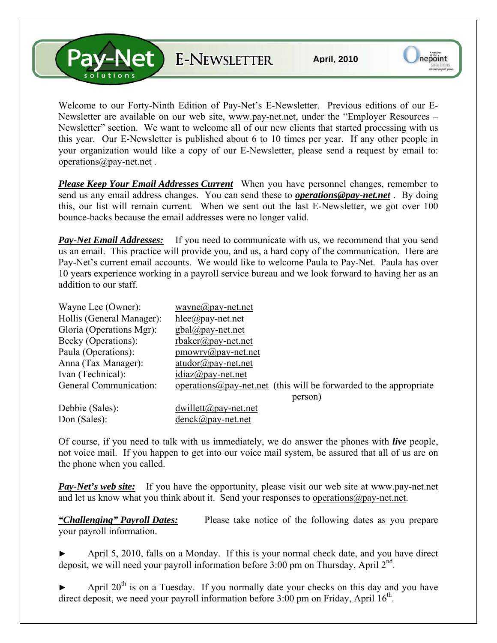**Pay-Net** E-NEWSLETTER

Welcome to our Forty-Ninth Edition of Pay-Net's E-Newsletter. Previous editions of our E-Newsletter are available on our web site, [www.pay-net.net](http://www.pay-net.net/), under the "Employer Resources – Newsletter" section. We want to welcome all of our new clients that started processing with us this year. Our E-Newsletter is published about 6 to 10 times per year. If any other people in your organization would like a copy of our E-Newsletter, please send a request by email to: [operations@pay-net.net](mailto:operations@pay-net.net) .

*Please Keep Your Email Addresses Current* When you have personnel changes, remember to send us any email address changes. You can send these to *[operations@pay-net.net](mailto:operations@pay-net.net)* . By doing this, our list will remain current. When we sent out the last E-Newsletter, we got over 100 bounce-backs because the email addresses were no longer valid.

**Pay-Net Email Addresses:** If you need to communicate with us, we recommend that you send us an email. This practice will provide you, and us, a hard copy of the communication. Here are Pay-Net's current email accounts. We would like to welcome Paula to Pay-Net. Paula has over 10 years experience working in a payroll service bureau and we look forward to having her as an addition to our staff.

| Wayne Lee (Owner):        | $wayne(\partial p$ ay-net.net                                              |
|---------------------------|----------------------------------------------------------------------------|
| Hollis (General Manager): | $hlee(\partial p$ ay-net.net                                               |
| Gloria (Operations Mgr):  | $gbal(\partial \rho)$ ay-net.net                                           |
| Becky (Operations):       | $r$ baker@pay-net.net                                                      |
| Paula (Operations):       | $\text{p}$ mowry@pay-net.net                                               |
| Anna (Tax Manager):       | $atudor@pay-net.net$                                                       |
| Ivan (Technical):         | $idiaz(\partial p$ ay-net.net                                              |
| General Communication:    | operations $\omega$ pay-net net (this will be forwarded to the appropriate |
|                           | person)                                                                    |
| Debbie (Sales):           | $dwillet(a)$ pay-net.net                                                   |
| Don (Sales):              | $denck@pay-net.net$                                                        |

Of course, if you need to talk with us immediately, we do answer the phones with *live* people, not voice mail. If you happen to get into our voice mail system, be assured that all of us are on the phone when you called.

**Pay-Net's web site:** If you have the opportunity, please visit our web site at www.pay-net.net and let us know what you think about it. Send your responses to [operations@pay-net.net](mailto:website@pay-net.net).

*"Challenging" Payroll Dates:* Please take notice of the following dates as you prepare your payroll information.

April 5, 2010, falls on a Monday. If this is your normal check date, and you have direct deposit, we will need your payroll information before  $3:00$  pm on Thursday, April  $2<sup>nd</sup>$ .

April  $20<sup>th</sup>$  is on a Tuesday. If you normally date your checks on this day and you have direct deposit, we need your payroll information before  $3:00$  pm on Friday, April  $16<sup>th</sup>$ .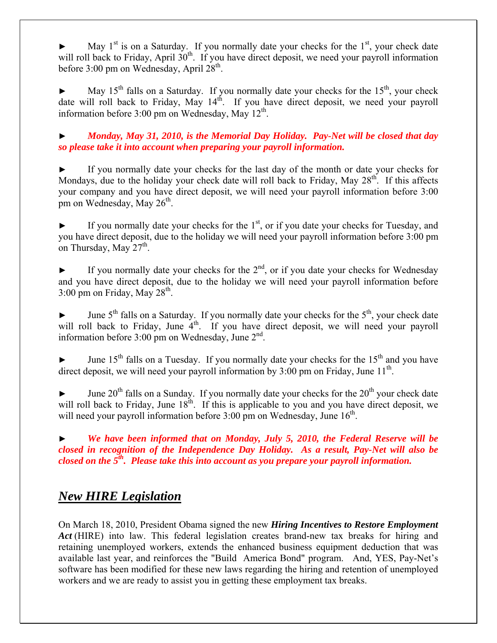May  $1<sup>st</sup>$  is on a Saturday. If you normally date your checks for the  $1<sup>st</sup>$ , your check date will roll back to Friday, April 30<sup>th</sup>. If you have direct deposit, we need your payroll information before 3:00 pm on Wednesday, April  $28<sup>th</sup>$ .

May  $15<sup>th</sup>$  falls on a Saturday. If you normally date your checks for the  $15<sup>th</sup>$ , your check date will roll back to Friday, May  $14<sup>th</sup>$ . If you have direct deposit, we need your payroll information before  $3:00$  pm on Wednesday, May  $12<sup>th</sup>$ .

► *Monday, May 31, 2010, is the Memorial Day Holiday. Pay-Net will be closed that day so please take it into account when preparing your payroll information.*

If you normally date your checks for the last day of the month or date your checks for Mondays, due to the holiday your check date will roll back to Friday, May  $28<sup>th</sup>$ . If this affects your company and you have direct deposit, we will need your payroll information before 3:00 pm on Wednesday, May 26<sup>th</sup>.

If you normally date your checks for the  $1<sup>st</sup>$ , or if you date your checks for Tuesday, and you have direct deposit, due to the holiday we will need your payroll information before 3:00 pm on Thursday, May  $27<sup>th</sup>$ .

If you normally date your checks for the  $2<sup>nd</sup>$ , or if you date your checks for Wednesday and you have direct deposit, due to the holiday we will need your payroll information before  $3:00$  pm on Friday, May  $28<sup>th</sup>$ .

June  $5<sup>th</sup>$  falls on a Saturday. If you normally date your checks for the  $5<sup>th</sup>$ , your check date will roll back to Friday, June  $4<sup>th</sup>$ . If you have direct deposit, we will need your payroll information before  $3:00$  pm on Wednesday, June  $2<sup>nd</sup>$ .

June  $15<sup>th</sup>$  falls on a Tuesday. If you normally date your checks for the  $15<sup>th</sup>$  and you have direct deposit, we will need your payroll information by  $3:00$  pm on Friday, June  $11<sup>th</sup>$ .

June  $20<sup>th</sup>$  falls on a Sunday. If you normally date your checks for the  $20<sup>th</sup>$  your check date will roll back to Friday, June  $18<sup>th</sup>$ . If this is applicable to you and you have direct deposit, we will need your payroll information before  $3:00$  pm on Wednesday, June  $16<sup>th</sup>$ .

We have been informed that on Monday, July 5, 2010, the Federal Reserve will be *closed in recognition of the Independence Day Holiday. As a result, Pay-Net will also be closed on the 5th. Please take this into account as you prepare your payroll information.* 

# *New HIRE Legislation*

On March 18, 2010, President Obama signed the new *Hiring Incentives to Restore Employment Act* (HIRE) into law. This federal legislation creates brand-new tax breaks for hiring and retaining unemployed workers, extends the enhanced business equipment deduction that was available last year, and reinforces the "Build America Bond" program. And, YES, Pay-Net's software has been modified for these new laws regarding the hiring and retention of unemployed workers and we are ready to assist you in getting these employment tax breaks.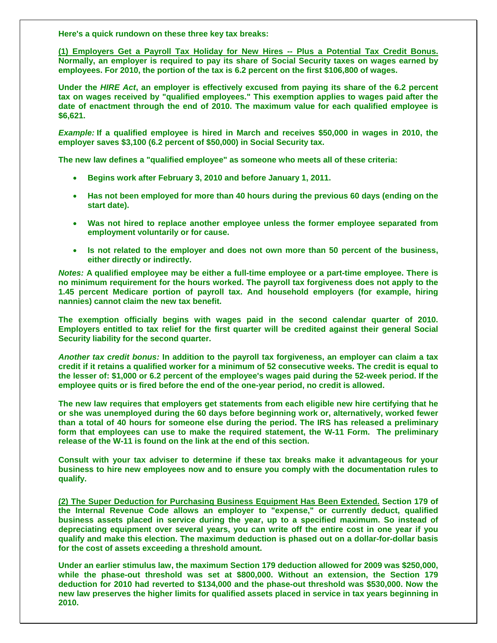**Here's a quick rundown on these three key tax breaks:** 

**(1) Employers Get a Payroll Tax Holiday for New Hires -- Plus a Potential Tax Credit Bonus. Normally, an employer is required to pay its share of Social Security taxes on wages earned by employees. For 2010, the portion of the tax is 6.2 percent on the first \$106,800 of wages.** 

**Under the** *HIRE Act***, an employer is effectively excused from paying its share of the 6.2 percent tax on wages received by "qualified employees." This exemption applies to wages paid after the date of enactment through the end of 2010. The maximum value for each qualified employee is \$6,621.** 

*Example:* **If a qualified employee is hired in March and receives \$50,000 in wages in 2010, the employer saves \$3,100 (6.2 percent of \$50,000) in Social Security tax.** 

**The new law defines a "qualified employee" as someone who meets all of these criteria:** 

- **Begins work after February 3, 2010 and before January 1, 2011.**
- **Has not been employed for more than 40 hours during the previous 60 days (ending on the start date).**
- **Was not hired to replace another employee unless the former employee separated from employment voluntarily or for cause.**
- **Is not related to the employer and does not own more than 50 percent of the business, either directly or indirectly.**

*Notes:* **A qualified employee may be either a full-time employee or a part-time employee. There is no minimum requirement for the hours worked. The payroll tax forgiveness does not apply to the 1.45 percent Medicare portion of payroll tax. And household employers (for example, hiring nannies) cannot claim the new tax benefit.** 

**The exemption officially begins with wages paid in the second calendar quarter of 2010. Employers entitled to tax relief for the first quarter will be credited against their general Social Security liability for the second quarter.** 

*Another tax credit bonus:* **In addition to the payroll tax forgiveness, an employer can claim a tax credit if it retains a qualified worker for a minimum of 52 consecutive weeks. The credit is equal to the lesser of: \$1,000 or 6.2 percent of the employee's wages paid during the 52-week period. If the employee quits or is fired before the end of the one-year period, no credit is allowed.** 

**The new law requires that employers get statements from each eligible new hire certifying that he or she was unemployed during the 60 days before beginning work or, alternatively, worked fewer than a total of 40 hours for someone else during the period. The IRS has released a preliminary form that employees can use to make the required statement, the W-11 Form. The preliminary release of the W-11 is found on the link at the end of this section.** 

**Consult with your tax adviser to determine if these tax breaks make it advantageous for your business to hire new employees now and to ensure you comply with the documentation rules to qualify.** 

**(2) The Super Deduction for Purchasing Business Equipment Has Been Extended. Section 179 of the Internal Revenue Code allows an employer to "expense," or currently deduct, qualified business assets placed in service during the year, up to a specified maximum. So instead of depreciating equipment over several years, you can write off the entire cost in one year if you qualify and make this election. The maximum deduction is phased out on a dollar-for-dollar basis for the cost of assets exceeding a threshold amount.** 

**Under an earlier stimulus law, the maximum Section 179 deduction allowed for 2009 was \$250,000, while the phase-out threshold was set at \$800,000. Without an extension, the Section 179 deduction for 2010 had reverted to \$134,000 and the phase-out threshold was \$530,000. Now the new law preserves the higher limits for qualified assets placed in service in tax years beginning in 2010.**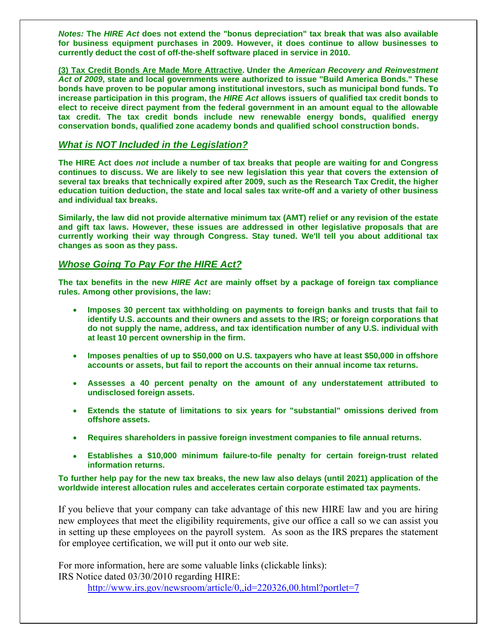*Notes:* **The** *HIRE Act* **does not extend the "bonus depreciation" tax break that was also available for business equipment purchases in 2009. However, it does continue to allow businesses to currently deduct the cost of off-the-shelf software placed in service in 2010.** 

**(3) Tax Credit Bonds Are Made More Attractive. Under the** *American Recovery and Reinvestment Act of 2009***, state and local governments were authorized to issue "Build America Bonds." These bonds have proven to be popular among institutional investors, such as municipal bond funds. To increase participation in this program, the** *HIRE Act* **allows issuers of qualified tax credit bonds to elect to receive direct payment from the federal government in an amount equal to the allowable tax credit. The tax credit bonds include new renewable energy bonds, qualified energy conservation bonds, qualified zone academy bonds and qualified school construction bonds.** 

#### *What is NOT Included in the Legislation?*

**The HIRE Act does** *not* **include a number of tax breaks that people are waiting for and Congress continues to discuss. We are likely to see new legislation this year that covers the extension of several tax breaks that technically expired after 2009, such as the Research Tax Credit, the higher education tuition deduction, the state and local sales tax write-off and a variety of other business and individual tax breaks.** 

**Similarly, the law did not provide alternative minimum tax (AMT) relief or any revision of the estate and gift tax laws. However, these issues are addressed in other legislative proposals that are currently working their way through Congress. Stay tuned. We'll tell you about additional tax changes as soon as they pass.** 

# *Whose Going To Pay For the HIRE Act?*

**The tax benefits in the new** *HIRE Act* **are mainly offset by a package of foreign tax compliance rules. Among other provisions, the law:** 

- **Imposes 30 percent tax withholding on payments to foreign banks and trusts that fail to identify U.S. accounts and their owners and assets to the IRS; or foreign corporations that do not supply the name, address, and tax identification number of any U.S. individual with at least 10 percent ownership in the firm.**
- **Imposes penalties of up to \$50,000 on U.S. taxpayers who have at least \$50,000 in offshore accounts or assets, but fail to report the accounts on their annual income tax returns.**
- **Assesses a 40 percent penalty on the amount of any understatement attributed to undisclosed foreign assets.**
- **Extends the statute of limitations to six years for "substantial" omissions derived from offshore assets.**
- **Requires shareholders in passive foreign investment companies to file annual returns.**
- **Establishes a \$10,000 minimum failure-to-file penalty for certain foreign-trust related information returns.**

**To further help pay for the new tax breaks, the new law also delays (until 2021) application of the worldwide interest allocation rules and accelerates certain corporate estimated tax payments.** 

If you believe that your company can take advantage of this new HIRE law and you are hiring new employees that meet the eligibility requirements, give our office a call so we can assist you in setting up these employees on the payroll system. As soon as the IRS prepares the statement for employee certification, we will put it onto our web site.

For more information, here are some valuable links (clickable links): IRS Notice dated 03/30/2010 regarding HIRE:

<http://www.irs.gov/newsroom/article/0,,id=220326,00.html?portlet=7>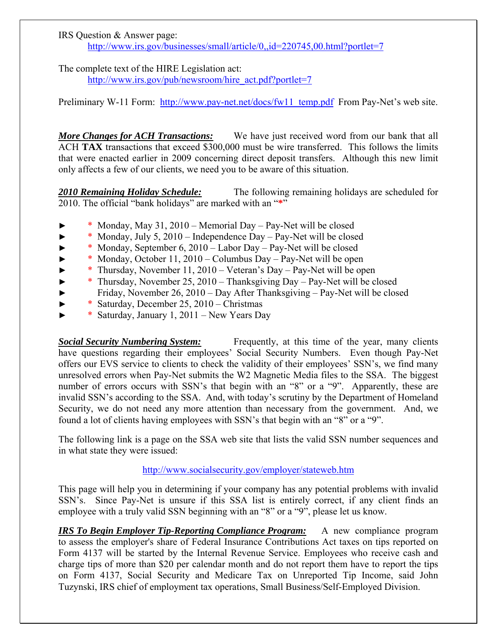#### IRS Question & Answer page: <http://www.irs.gov/businesses/small/article/0,,id=220745,00.html?portlet=7>

The complete text of the HIRE Legislation act:

[http://www.irs.gov/pub/newsroom/hire\\_act.pdf?portlet=7](http://www.irs.gov/pub/newsroom/hire_act.pdf?portlet=7)

Preliminary W-11 Form: [http://www.pay-net.net/docs/fw11\\_temp.pdf](http://www.pay-net.net/docs/fw11_temp.pdf) From Pay-Net's web site.

*More Changes for ACH Transactions:* We have just received word from our bank that all ACH **TAX** transactions that exceed \$300,000 must be wire transferred. This follows the limits that were enacted earlier in 2009 concerning direct deposit transfers. Although this new limit only affects a few of our clients, we need you to be aware of this situation.

*2010 Remaining Holiday Schedule:* The following remaining holidays are scheduled for 2010. The official "bank holidays" are marked with an "**\***"

- ► \* Monday, May 31, 2010 Memorial Day Pay-Net will be closed
- ► \* Monday, July 5, 2010 Independence Day Pay-Net will be closed
- ► \* Monday, September 6, 2010 Labor Day Pay-Net will be closed
- ► \* Monday, October 11, 2010 Columbus Day Pay-Net will be open
- ► \* Thursday, November 11, 2010 Veteran's Day Pay-Net will be open
- ► \* Thursday, November 25, 2010 Thanksgiving Day Pay-Net will be closed
	- ► Friday, November 26, 2010 Day After Thanksgiving Pay-Net will be closed
- ► \* Saturday, December 25, 2010 Christmas
- ► \* Saturday, January 1, 2011 New Years Day

**Social Security Numbering System:** Frequently, at this time of the year, many clients have questions regarding their employees' Social Security Numbers. Even though Pay-Net offers our EVS service to clients to check the validity of their employees' SSN's, we find many unresolved errors when Pay-Net submits the W2 Magnetic Media files to the SSA. The biggest number of errors occurs with SSN's that begin with an "8" or a "9". Apparently, these are invalid SSN's according to the SSA. And, with today's scrutiny by the Department of Homeland Security, we do not need any more attention than necessary from the government. And, we found a lot of clients having employees with SSN's that begin with an "8" or a "9".

The following link is a page on the SSA web site that lists the valid SSN number sequences and in what state they were issued:

# <http://www.socialsecurity.gov/employer/stateweb.htm>

This page will help you in determining if your company has any potential problems with invalid SSN's. Since Pay-Net is unsure if this SSA list is entirely correct, if any client finds an employee with a truly valid SSN beginning with an "8" or a "9", please let us know.

*IRS To Begin Employer Tip-Reporting Compliance Program:* A new compliance program to assess the employer's share of Federal Insurance Contributions Act taxes on tips reported on Form 4137 will be started by the Internal Revenue Service. Employees who receive cash and charge tips of more than \$20 per calendar month and do not report them have to report the tips on Form 4137, Social Security and Medicare Tax on Unreported Tip Income, said John Tuzynski, IRS chief of employment tax operations, Small Business/Self-Employed Division.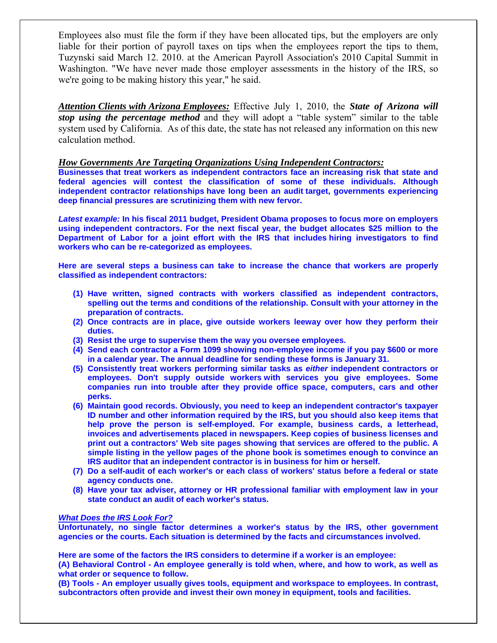Employees also must file the form if they have been allocated tips, but the employers are only liable for their portion of payroll taxes on tips when the employees report the tips to them, Tuzynski said March 12. 2010. at the American Payroll Association's 2010 Capital Summit in Washington. "We have never made those employer assessments in the history of the IRS, so we're going to be making history this year," he said.

*Attention Clients with Arizona Employees:* Effective July 1, 2010, the *State of Arizona will stop using the percentage method* and they will adopt a "table system" similar to the table system used by California. As of this date, the state has not released any information on this new calculation method.

#### *How Governments Are Targeting Organizations Using Independent Contractors:*

**Businesses that treat workers as independent contractors face an increasing risk that state and federal agencies will contest the classification of some of these individuals. Although independent contractor relationships have long been an audit target, governments experiencing deep financial pressures are scrutinizing them with new fervor.** 

*Latest example:* **In his fiscal 2011 budget, President Obama proposes to focus more on employers using independent contractors. For the next fiscal year, the budget allocates \$25 million to the Department of Labor for a joint effort with the IRS that includes hiring investigators to find workers who can be re-categorized as employees.** 

**Here are several steps a business can take to increase the chance that workers are properly classified as independent contractors:** 

- **(1) Have written, signed contracts with workers classified as independent contractors, spelling out the terms and conditions of the relationship. Consult with your attorney in the preparation of contracts.**
- **(2) Once contracts are in place, give outside workers leeway over how they perform their duties.**
- **(3) Resist the urge to supervise them the way you oversee employees.**
- **(4) Send each contractor a Form 1099 showing non-employee income if you pay \$600 or more in a calendar year. The annual deadline for sending these forms is January 31.**
- **(5) Consistently treat workers performing similar tasks as** *either* **independent contractors or employees. Don't supply outside workers with services you give employees. Some companies run into trouble after they provide office space, computers, cars and other perks.**
- **(6) Maintain good records. Obviously, you need to keep an independent contractor's taxpayer ID number and other information required by the IRS, but you should also keep items that help prove the person is self-employed. For example, business cards, a letterhead, invoices and advertisements placed in newspapers. Keep copies of business licenses and print out a contractors' Web site pages showing that services are offered to the public. A simple listing in the yellow pages of the phone book is sometimes enough to convince an IRS auditor that an independent contractor is in business for him or herself.**
- **(7) Do a self-audit of each worker's or each class of workers' status before a federal or state agency conducts one.**
- **(8) Have your tax adviser, attorney or HR professional familiar with employment law in your state conduct an audit of each worker's status.**

#### *What Does the IRS Look For?*

**Unfortunately, no single factor determines a worker's status by the IRS, other government agencies or the courts. Each situation is determined by the facts and circumstances involved.** 

**Here are some of the factors the IRS considers to determine if a worker is an employee:** 

**(A) Behavioral Control - An employee generally is told when, where, and how to work, as well as what order or sequence to follow.** 

**(B) Tools - An employer usually gives tools, equipment and workspace to employees. In contrast, subcontractors often provide and invest their own money in equipment, tools and facilities.**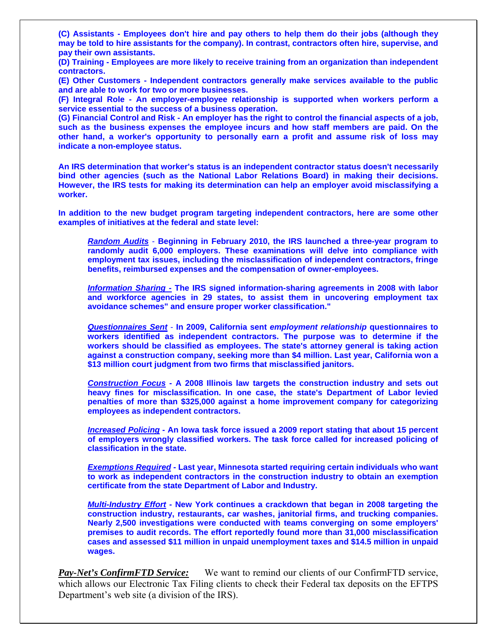**(C) Assistants - Employees don't hire and pay others to help them do their jobs (although they may be told to hire assistants for the company). In contrast, contractors often hire, supervise, and pay their own assistants.** 

**(D) Training - Employees are more likely to receive training from an organization than independent contractors.** 

**(E) Other Customers - Independent contractors generally make services available to the public and are able to work for two or more businesses.** 

**(F) Integral Role - An employer-employee relationship is supported when workers perform a service essential to the success of a business operation.** 

**(G) Financial Control and Risk - An employer has the right to control the financial aspects of a job, such as the business expenses the employee incurs and how staff members are paid. On the other hand, a worker's opportunity to personally earn a profit and assume risk of loss may indicate a non-employee status.** 

**An IRS determination that worker's status is an independent contractor status doesn't necessarily bind other agencies (such as the National Labor Relations Board) in making their decisions. However, the IRS tests for making its determination can help an employer avoid misclassifying a worker.** 

**In addition to the new budget program targeting independent contractors, here are some other examples of initiatives at the federal and state level:** 

*Random Audits* - **Beginning in February 2010, the IRS launched a three-year program to randomly audit 6,000 employers. These examinations will delve into compliance with employment tax issues, including the misclassification of independent contractors, fringe benefits, reimbursed expenses and the compensation of owner-employees.** 

*Information Sharing -* **The IRS signed information-sharing agreements in 2008 with labor and workforce agencies in 29 states, to assist them in uncovering employment tax avoidance schemes" and ensure proper worker classification."** 

*Questionnaires Sent* - **In 2009, California sent** *employment relationship* **questionnaires to workers identified as independent contractors. The purpose was to determine if the workers should be classified as employees. The state's attorney general is taking action against a construction company, seeking more than \$4 million. Last year, California won a \$13 million court judgment from two firms that misclassified janitors.** 

*Construction Focus* **- A 2008 Illinois law targets the construction industry and sets out heavy fines for misclassification. In one case, the state's Department of Labor levied penalties of more than \$325,000 against a home improvement company for categorizing employees as independent contractors.** 

*Increased Policing* **- An Iowa task force issued a 2009 report stating that about 15 percent of employers wrongly classified workers. The task force called for increased policing of classification in the state.** 

*Exemptions Required* **- Last year, Minnesota started requiring certain individuals who want to work as independent contractors in the construction industry to obtain an exemption certificate from the state Department of Labor and Industry.** 

*Multi-Industry Effort* **- New York continues a crackdown that began in 2008 targeting the construction industry, restaurants, car washes, janitorial firms, and trucking companies. Nearly 2,500 investigations were conducted with teams converging on some employers' premises to audit records. The effort reportedly found more than 31,000 misclassification cases and assessed \$11 million in unpaid unemployment taxes and \$14.5 million in unpaid wages.** 

*Pay-Net's ConfirmFTD Service:* We want to remind our clients of our ConfirmFTD service, which allows our Electronic Tax Filing clients to check their Federal tax deposits on the EFTPS Department's web site (a division of the IRS).